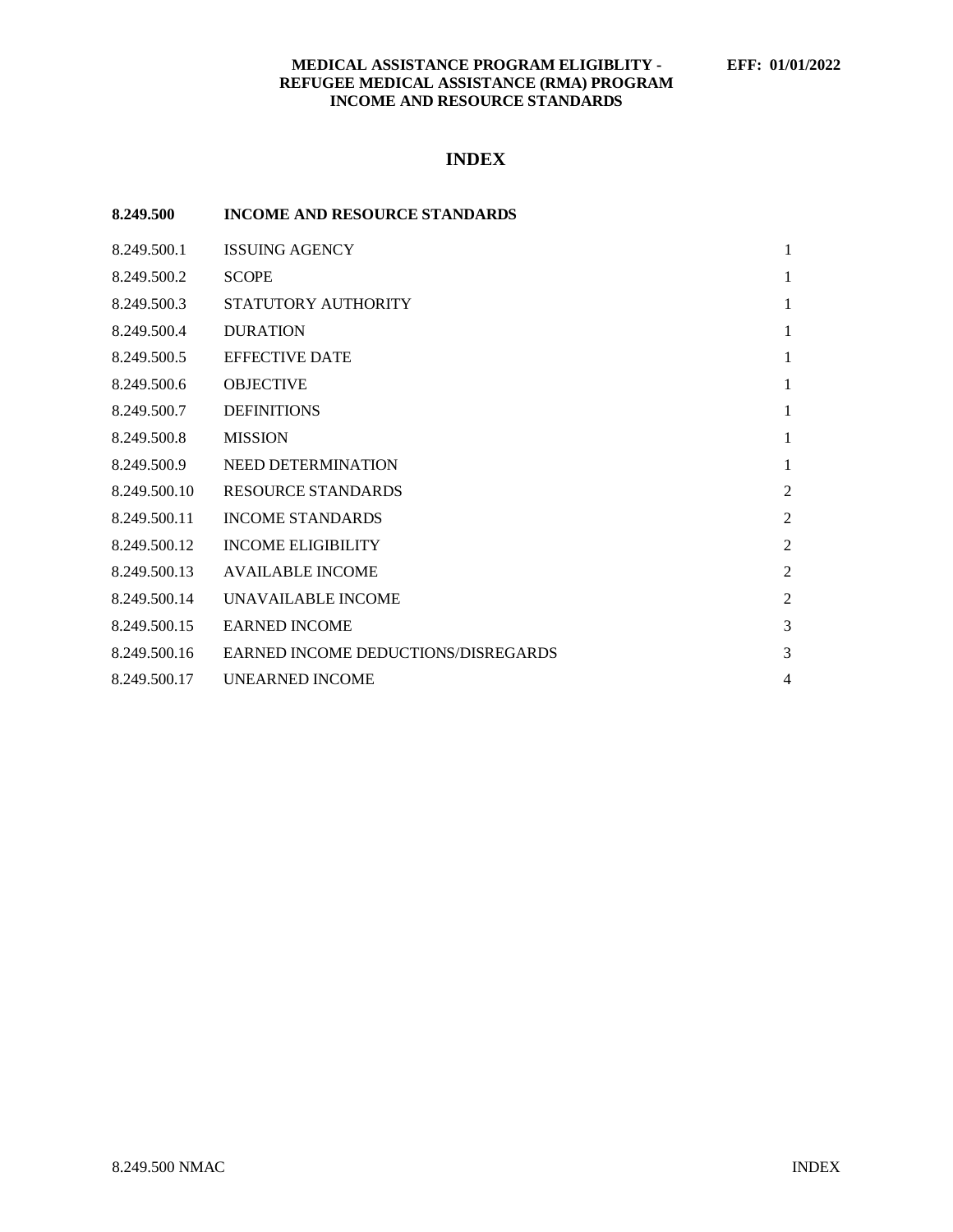# **INDEX**

| 8.249.500    | <b>INCOME AND RESOURCE STANDARDS</b> |                |
|--------------|--------------------------------------|----------------|
| 8.249.500.1  | <b>ISSUING AGENCY</b>                | $\mathbf{1}$   |
| 8.249.500.2  | <b>SCOPE</b>                         | $\mathbf{1}$   |
| 8.249.500.3  | STATUTORY AUTHORITY                  | 1              |
| 8.249.500.4  | <b>DURATION</b>                      | $\mathbf{1}$   |
| 8.249.500.5  | <b>EFFECTIVE DATE</b>                | $\mathbf{1}$   |
| 8.249.500.6  | <b>OBJECTIVE</b>                     | $\mathbf{1}$   |
| 8.249.500.7  | <b>DEFINITIONS</b>                   | $\mathbf{1}$   |
| 8.249.500.8  | <b>MISSION</b>                       | $\mathbf{1}$   |
| 8.249.500.9  | NEED DETERMINATION                   | $\mathbf{1}$   |
| 8.249.500.10 | <b>RESOURCE STANDARDS</b>            | $\overline{2}$ |
| 8.249.500.11 | <b>INCOME STANDARDS</b>              | $\overline{2}$ |
| 8.249.500.12 | <b>INCOME ELIGIBILITY</b>            | $\overline{2}$ |
| 8.249.500.13 | <b>AVAILABLE INCOME</b>              | $\overline{2}$ |
| 8.249.500.14 | UNAVAILABLE INCOME                   | $\overline{2}$ |
| 8.249.500.15 | <b>EARNED INCOME</b>                 | 3              |
| 8.249.500.16 | EARNED INCOME DEDUCTIONS/DISREGARDS  | 3              |
| 8.249.500.17 | UNEARNED INCOME                      | 4              |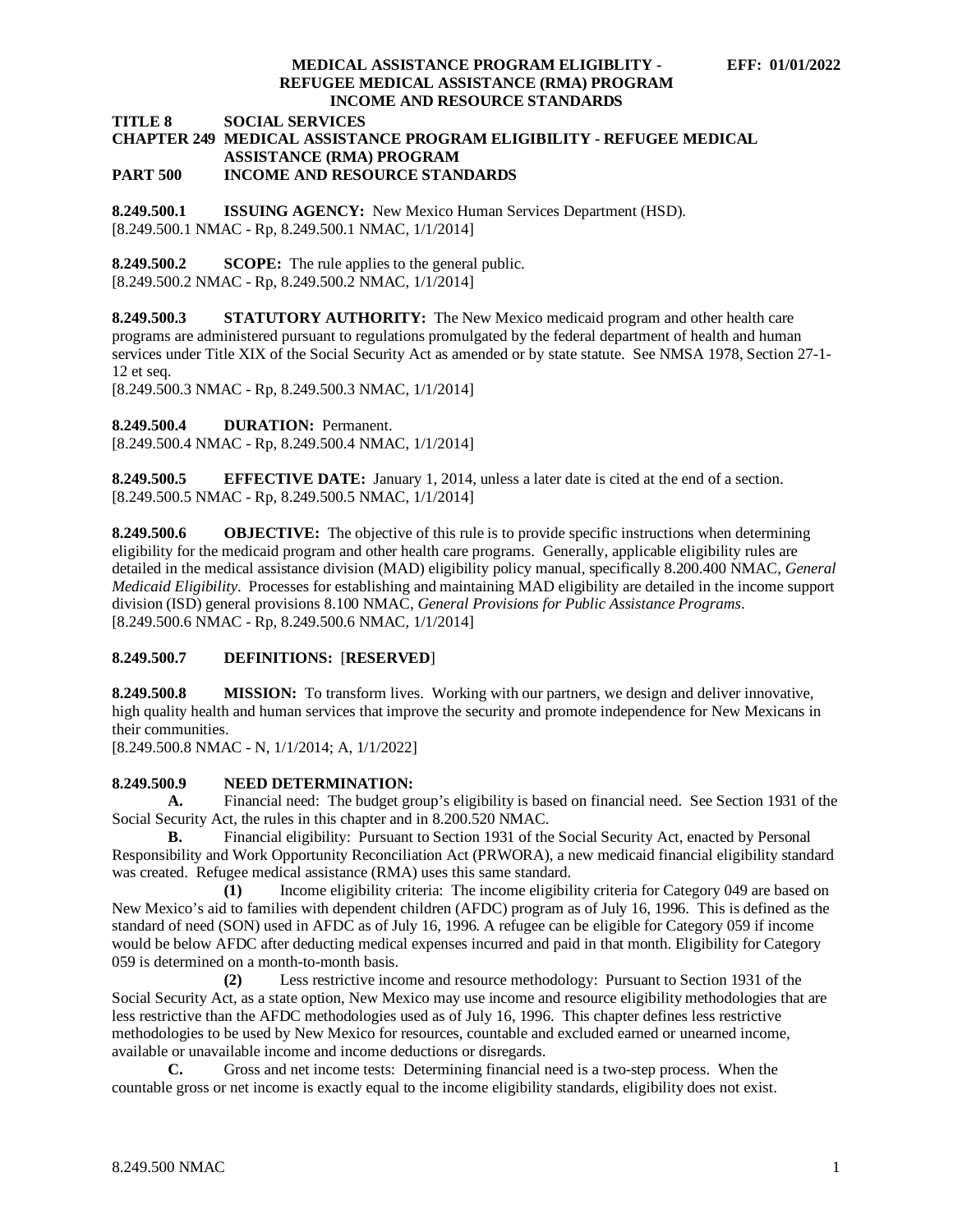**TITLE 8 SOCIAL SERVICES**

#### **CHAPTER 249 MEDICAL ASSISTANCE PROGRAM ELIGIBILITY - REFUGEE MEDICAL ASSISTANCE (RMA) PROGRAM PART 500 INCOME AND RESOURCE STANDARDS**

<span id="page-1-0"></span>**8.249.500.1 ISSUING AGENCY:** New Mexico Human Services Department (HSD). [8.249.500.1 NMAC - Rp, 8.249.500.1 NMAC, 1/1/2014]

<span id="page-1-1"></span>**8.249.500.2 SCOPE:** The rule applies to the general public. [8.249.500.2 NMAC - Rp, 8.249.500.2 NMAC, 1/1/2014]

<span id="page-1-2"></span>**8.249.500.3 STATUTORY AUTHORITY:** The New Mexico medicaid program and other health care programs are administered pursuant to regulations promulgated by the federal department of health and human services under Title XIX of the Social Security Act as amended or by state statute. See NMSA 1978, Section 27-1- 12 et seq.

[8.249.500.3 NMAC - Rp, 8.249.500.3 NMAC, 1/1/2014]

<span id="page-1-3"></span>**8.249.500.4 DURATION:** Permanent.

[8.249.500.4 NMAC - Rp, 8.249.500.4 NMAC, 1/1/2014]

<span id="page-1-4"></span>**8.249.500.5 EFFECTIVE DATE:** January 1, 2014, unless a later date is cited at the end of a section. [8.249.500.5 NMAC - Rp, 8.249.500.5 NMAC, 1/1/2014]

<span id="page-1-5"></span>**8.249.500.6 OBJECTIVE:** The objective of this rule is to provide specific instructions when determining eligibility for the medicaid program and other health care programs. Generally, applicable eligibility rules are detailed in the medical assistance division (MAD) eligibility policy manual, specifically 8.200.400 NMAC, *General Medicaid Eligibility*. Processes for establishing and maintaining MAD eligibility are detailed in the income support division (ISD) general provisions 8.100 NMAC, *General Provisions for Public Assistance Programs*. [8.249.500.6 NMAC - Rp, 8.249.500.6 NMAC, 1/1/2014]

# <span id="page-1-6"></span>**8.249.500.7 DEFINITIONS:** [**RESERVED**]

<span id="page-1-7"></span>**8.249.500.8 MISSION:** To transform lives. Working with our partners, we design and deliver innovative, high quality health and human services that improve the security and promote independence for New Mexicans in their communities.

[8.249.500.8 NMAC - N, 1/1/2014; A, 1/1/2022]

# <span id="page-1-8"></span>**8.249.500.9 NEED DETERMINATION:**

**A.** Financial need: The budget group's eligibility is based on financial need. See Section 1931 of the Social Security Act, the rules in this chapter and in 8.200.520 NMAC.

**B.** Financial eligibility: Pursuant to Section 1931 of the Social Security Act, enacted by Personal Responsibility and Work Opportunity Reconciliation Act (PRWORA), a new medicaid financial eligibility standard was created. Refugee medical assistance (RMA) uses this same standard.

**(1)** Income eligibility criteria: The income eligibility criteria for Category 049 are based on New Mexico's aid to families with dependent children (AFDC) program as of July 16, 1996. This is defined as the standard of need (SON) used in AFDC as of July 16, 1996. A refugee can be eligible for Category 059 if income would be below AFDC after deducting medical expenses incurred and paid in that month. Eligibility for Category 059 is determined on a month-to-month basis.

**(2)** Less restrictive income and resource methodology: Pursuant to Section 1931 of the Social Security Act, as a state option, New Mexico may use income and resource eligibility methodologies that are less restrictive than the AFDC methodologies used as of July 16, 1996. This chapter defines less restrictive methodologies to be used by New Mexico for resources, countable and excluded earned or unearned income, available or unavailable income and income deductions or disregards.

**C.** Gross and net income tests: Determining financial need is a two-step process. When the countable gross or net income is exactly equal to the income eligibility standards, eligibility does not exist.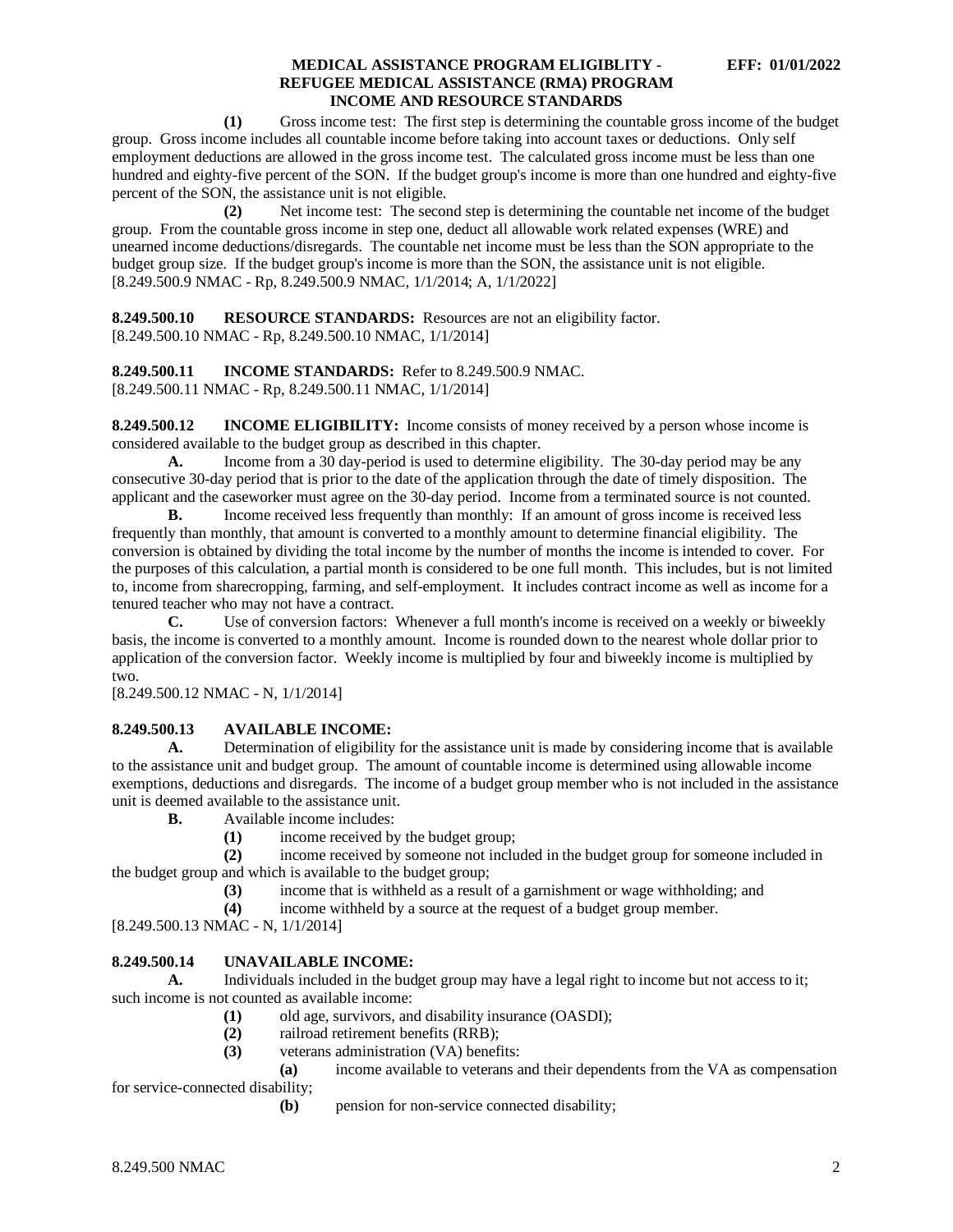**(1)** Gross income test: The first step is determining the countable gross income of the budget group. Gross income includes all countable income before taking into account taxes or deductions. Only self employment deductions are allowed in the gross income test. The calculated gross income must be less than one hundred and eighty-five percent of the SON. If the budget group's income is more than one hundred and eighty-five percent of the SON, the assistance unit is not eligible.

**(2)** Net income test: The second step is determining the countable net income of the budget group. From the countable gross income in step one, deduct all allowable work related expenses (WRE) and unearned income deductions/disregards. The countable net income must be less than the SON appropriate to the budget group size. If the budget group's income is more than the SON, the assistance unit is not eligible. [8.249.500.9 NMAC - Rp, 8.249.500.9 NMAC, 1/1/2014; A, 1/1/2022]

<span id="page-2-0"></span>**8.249.500.10 RESOURCE STANDARDS:** Resources are not an eligibility factor. [8.249.500.10 NMAC - Rp, 8.249.500.10 NMAC, 1/1/2014]

<span id="page-2-1"></span>**8.249.500.11 INCOME STANDARDS:** Refer to 8.249.500.9 NMAC. [8.249.500.11 NMAC - Rp, 8.249.500.11 NMAC, 1/1/2014]

<span id="page-2-2"></span>**8.249.500.12 INCOME ELIGIBILITY:** Income consists of money received by a person whose income is considered available to the budget group as described in this chapter.

**A.** Income from a 30 day-period is used to determine eligibility. The 30-day period may be any consecutive 30-day period that is prior to the date of the application through the date of timely disposition. The applicant and the caseworker must agree on the 30-day period. Income from a terminated source is not counted.

**B.** Income received less frequently than monthly: If an amount of gross income is received less frequently than monthly, that amount is converted to a monthly amount to determine financial eligibility. The conversion is obtained by dividing the total income by the number of months the income is intended to cover. For the purposes of this calculation, a partial month is considered to be one full month. This includes, but is not limited to, income from sharecropping, farming, and self-employment. It includes contract income as well as income for a tenured teacher who may not have a contract.

**C.** Use of conversion factors: Whenever a full month's income is received on a weekly or biweekly basis, the income is converted to a monthly amount. Income is rounded down to the nearest whole dollar prior to application of the conversion factor. Weekly income is multiplied by four and biweekly income is multiplied by two.

[8.249.500.12 NMAC - N, 1/1/2014]

# <span id="page-2-3"></span>**8.249.500.13 AVAILABLE INCOME:**

**A.** Determination of eligibility for the assistance unit is made by considering income that is available to the assistance unit and budget group. The amount of countable income is determined using allowable income exemptions, deductions and disregards. The income of a budget group member who is not included in the assistance unit is deemed available to the assistance unit.

**B.** Available income includes:

(1) income received by the budget group;<br>(2) income received by someone not inclu

**(2)** income received by someone not included in the budget group for someone included in the budget group and which is available to the budget group;

**(3)** income that is withheld as a result of a garnishment or wage withholding; and

**(4)** income withheld by a source at the request of a budget group member.

[8.249.500.13 NMAC - N, 1/1/2014]

# <span id="page-2-4"></span>**8.249.500.14 UNAVAILABLE INCOME:**

A. Individuals included in the budget group may have a legal right to income but not access to it; such income is not counted as available income:

- **(1)** old age, survivors, and disability insurance (OASDI);
- **(2)** railroad retirement benefits (RRB);
- **(3)** veterans administration (VA) benefits:<br>**(a)** income available to veterans a

**(a)** income available to veterans and their dependents from the VA as compensation for service-connected disability;

**(b)** pension for non-service connected disability;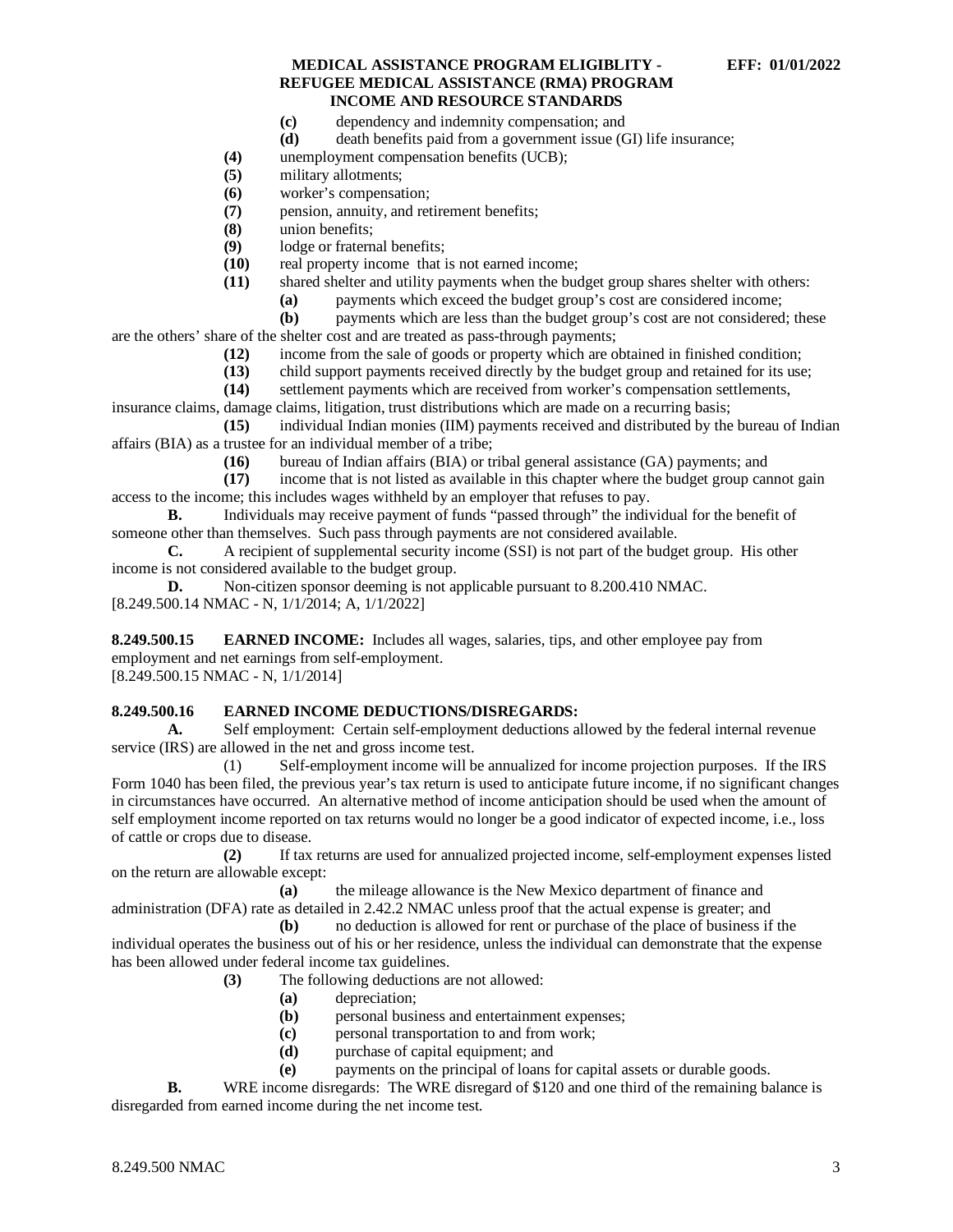- **(c)** dependency and indemnity compensation; and
- **(d)** death benefits paid from a government issue (GI) life insurance;
- **(4)** unemployment compensation benefits (UCB);
- **(5)** military allotments;
- **(6)** worker's compensation;
- **(7)** pension, annuity, and retirement benefits;
- **(8)** union benefits;
- (9) lodge or fraternal benefits;<br>(10) real property income that i
- (10) real property income that is not earned income;<br>(11) shared shelter and utility payments when the bud
	- shared shelter and utility payments when the budget group shares shelter with others:
		- **(a)** payments which exceed the budget group's cost are considered income;

**(b)** payments which are less than the budget group's cost are not considered; these are the others' share of the shelter cost and are treated as pass-through payments;

- **(12)** income from the sale of goods or property which are obtained in finished condition;
- **(13)** child support payments received directly by the budget group and retained for its use;
- **(14)** settlement payments which are received from worker's compensation settlements,

insurance claims, damage claims, litigation, trust distributions which are made on a recurring basis; **(15)** individual Indian monies (IIM) payments received and distributed by the bureau of Indian

- affairs (BIA) as a trustee for an individual member of a tribe;
	- **(16)** bureau of Indian affairs (BIA) or tribal general assistance (GA) payments; and

income that is not listed as available in this chapter where the budget group cannot gain access to the income; this includes wages withheld by an employer that refuses to pay.

**B.** Individuals may receive payment of funds "passed through" the individual for the benefit of someone other than themselves. Such pass through payments are not considered available.

**C.** A recipient of supplemental security income (SSI) is not part of the budget group. His other income is not considered available to the budget group.

**D.** Non-citizen sponsor deeming is not applicable pursuant to 8.200.410 NMAC. [8.249.500.14 NMAC - N, 1/1/2014; A, 1/1/2022]

<span id="page-3-0"></span>**8.249.500.15 EARNED INCOME:** Includes all wages, salaries, tips, and other employee pay from employment and net earnings from self-employment.

[8.249.500.15 NMAC - N, 1/1/2014]

# <span id="page-3-1"></span>**8.249.500.16 EARNED INCOME DEDUCTIONS/DISREGARDS:**

**A.** Self employment: Certain self-employment deductions allowed by the federal internal revenue service (IRS) are allowed in the net and gross income test.

(1) Self-employment income will be annualized for income projection purposes. If the IRS Form 1040 has been filed, the previous year's tax return is used to anticipate future income, if no significant changes in circumstances have occurred. An alternative method of income anticipation should be used when the amount of self employment income reported on tax returns would no longer be a good indicator of expected income, i.e., loss of cattle or crops due to disease.

**(2)** If tax returns are used for annualized projected income, self-employment expenses listed on the return are allowable except:

**(a)** the mileage allowance is the New Mexico department of finance and administration (DFA) rate as detailed in 2.42.2 NMAC unless proof that the actual expense is greater; and

**(b)** no deduction is allowed for rent or purchase of the place of business if the individual operates the business out of his or her residence, unless the individual can demonstrate that the expense has been allowed under federal income tax guidelines.

**(3)** The following deductions are not allowed:

- **(a)** depreciation;
- **(b)** personal business and entertainment expenses;
- **(c)** personal transportation to and from work;
- **(d)** purchase of capital equipment; and
- **(e)** payments on the principal of loans for capital assets or durable goods.

**B.** WRE income disregards: The WRE disregard of \$120 and one third of the remaining balance is disregarded from earned income during the net income test.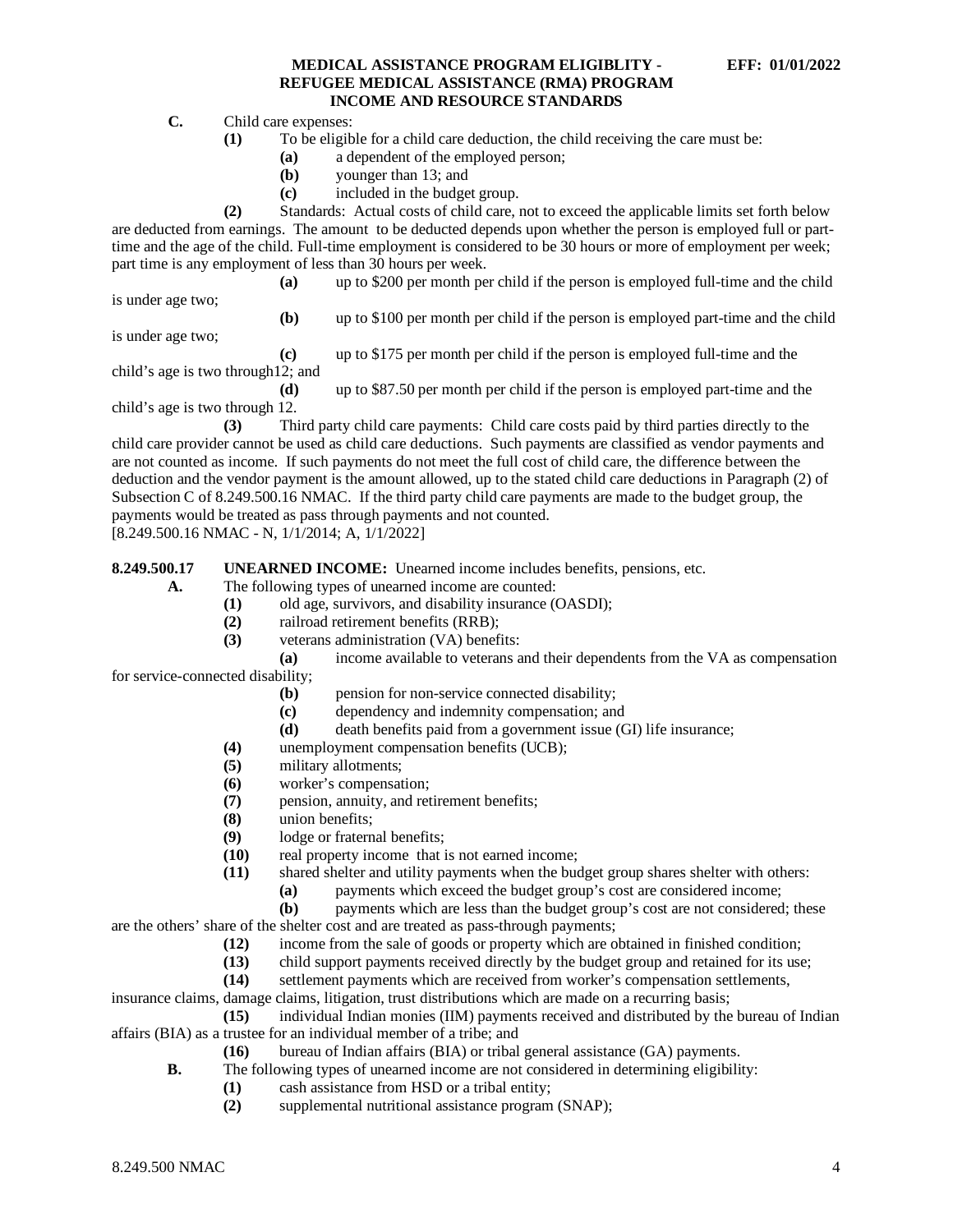**C.** Child care expenses:

- **(1)** To be eligible for a child care deduction, the child receiving the care must be:
	- **(a)** a dependent of the employed person;
	- **(b)** younger than 13; and
	- **(c)** included in the budget group.

**(2)** Standards: Actual costs of child care, not to exceed the applicable limits set forth below are deducted from earnings. The amount to be deducted depends upon whether the person is employed full or parttime and the age of the child. Full-time employment is considered to be 30 hours or more of employment per week; part time is any employment of less than 30 hours per week.

**(a)** up to \$200 per month per child if the person is employed full-time and the child

is under age two;

**(b)** up to \$100 per month per child if the person is employed part-time and the child

is under age two;

**(c)** up to \$175 per month per child if the person is employed full-time and the child's age is two through12; and

**(d)** up to \$87.50 per month per child if the person is employed part-time and the child's age is two through 12.

**(3)** Third party child care payments: Child care costs paid by third parties directly to the child care provider cannot be used as child care deductions. Such payments are classified as vendor payments and are not counted as income. If such payments do not meet the full cost of child care, the difference between the deduction and the vendor payment is the amount allowed, up to the stated child care deductions in Paragraph (2) of Subsection C of 8.249.500.16 NMAC. If the third party child care payments are made to the budget group, the payments would be treated as pass through payments and not counted. [8.249.500.16 NMAC - N, 1/1/2014; A, 1/1/2022]

<span id="page-4-0"></span>**8.249.500.17 UNEARNED INCOME:** Unearned income includes benefits, pensions, etc.

**A.** The following types of unearned income are counted:

- **(1)** old age, survivors, and disability insurance (OASDI);
- **(2)** railroad retirement benefits (RRB);
- **(3)** veterans administration (VA) benefits:

**(a)** income available to veterans and their dependents from the VA as compensation for service-connected disability;

- **(b)** pension for non-service connected disability;
- **(c)** dependency and indemnity compensation; and
- **(d)** death benefits paid from a government issue (GI) life insurance;
- **(4)** unemployment compensation benefits (UCB);
- **(5)** military allotments;
- **(6)** worker's compensation;
- **(7)** pension, annuity, and retirement benefits;
- **(8)** union benefits;
- (9) lodge or fraternal benefits;<br>(10) real property income that i
- real property income that is not earned income;
- **(11)** shared shelter and utility payments when the budget group shares shelter with others:
	- **(a)** payments which exceed the budget group's cost are considered income;
- **(b)** payments which are less than the budget group's cost are not considered; these are the others' share of the shelter cost and are treated as pass-through payments;

- **(12)** income from the sale of goods or property which are obtained in finished condition;
- (13) child support payments received directly by the budget group and retained for its use;<br>(14) settlement payments which are received from worker's compensation settlements. settlement payments which are received from worker's compensation settlements,
- insurance claims, damage claims, litigation, trust distributions which are made on a recurring basis;

**(15)** individual Indian monies (IIM) payments received and distributed by the bureau of Indian affairs (BIA) as a trustee for an individual member of a tribe; and

- **(16)** bureau of Indian affairs (BIA) or tribal general assistance (GA) payments.
- **B.** The following types of unearned income are not considered in determining eligibility:
	- **(1)** cash assistance from HSD or a tribal entity;
	- **(2)** supplemental nutritional assistance program (SNAP);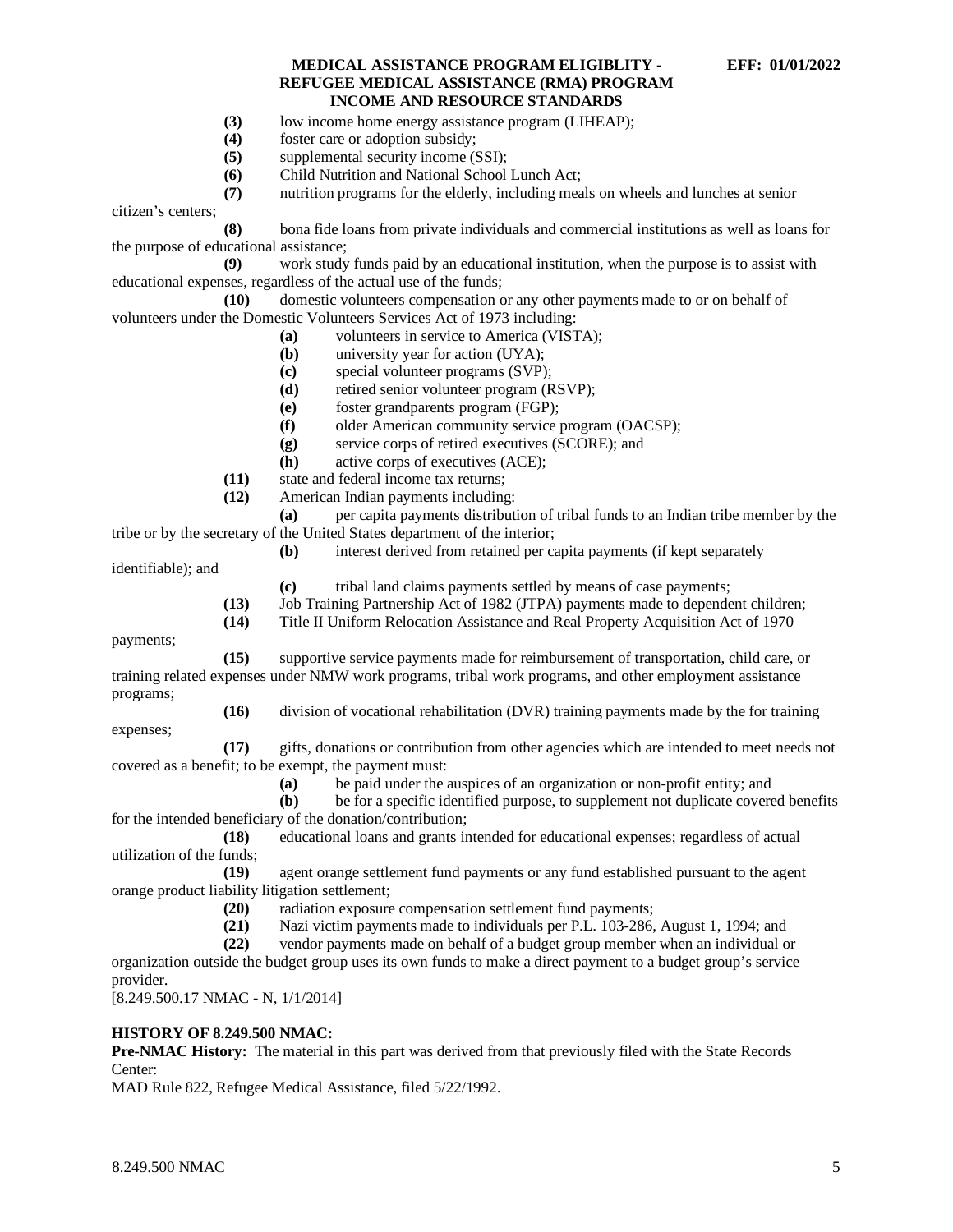- **(3)** low income home energy assistance program (LIHEAP);
- **(4)** foster care or adoption subsidy;
- **(5)** supplemental security income (SSI);
- **(6)** Child Nutrition and National School Lunch Act;

**(7)** nutrition programs for the elderly, including meals on wheels and lunches at senior

citizen's centers;

**(8)** bona fide loans from private individuals and commercial institutions as well as loans for the purpose of educational assistance;

**(9)** work study funds paid by an educational institution, when the purpose is to assist with educational expenses, regardless of the actual use of the funds;

**(10)** domestic volunteers compensation or any other payments made to or on behalf of volunteers under the Domestic Volunteers Services Act of 1973 including:

- **(a)** volunteers in service to America (VISTA);
- **(b)** university year for action (UYA);
- **(c)** special volunteer programs (SVP);
- **(d)** retired senior volunteer program (RSVP);
- **(e)** foster grandparents program (FGP);
- **(f)** older American community service program (OACSP);
- **(g)** service corps of retired executives (SCORE); and
- **(h)** active corps of executives (ACE);
- **(11)** state and federal income tax returns;
- **(12)** American Indian payments including:

**(a)** per capita payments distribution of tribal funds to an Indian tribe member by the tribe or by the secretary of the United States department of the interior;

**(b)** interest derived from retained per capita payments (if kept separately

identifiable); and

- **(c)** tribal land claims payments settled by means of case payments;
- **(13)** Job Training Partnership Act of 1982 (JTPA) payments made to dependent children;
- **(14)** Title II Uniform Relocation Assistance and Real Property Acquisition Act of 1970

payments;

**(15)** supportive service payments made for reimbursement of transportation, child care, or training related expenses under NMW work programs, tribal work programs, and other employment assistance programs; **(16)** division of vocational rehabilitation (DVR) training payments made by the for training

expenses;

**(17)** gifts, donations or contribution from other agencies which are intended to meet needs not covered as a benefit; to be exempt, the payment must:

- **(a)** be paid under the auspices of an organization or non-profit entity; and
- **(b)** be for a specific identified purpose, to supplement not duplicate covered benefits for the intended beneficiary of the donation/contribution;

**(18)** educational loans and grants intended for educational expenses; regardless of actual utilization of the funds;

**(19)** agent orange settlement fund payments or any fund established pursuant to the agent orange product liability litigation settlement;

- (20) radiation exposure compensation settlement fund payments;<br>(21) Nazi victim payments made to individuals per P.L. 103-286.
- Nazi victim payments made to individuals per P.L. 103-286, August 1, 1994; and
- **(22)** vendor payments made on behalf of a budget group member when an individual or

organization outside the budget group uses its own funds to make a direct payment to a budget group's service provider.

[8.249.500.17 NMAC - N, 1/1/2014]

#### **HISTORY OF 8.249.500 NMAC:**

**Pre-NMAC History:** The material in this part was derived from that previously filed with the State Records Center:

MAD Rule 822, Refugee Medical Assistance, filed 5/22/1992.